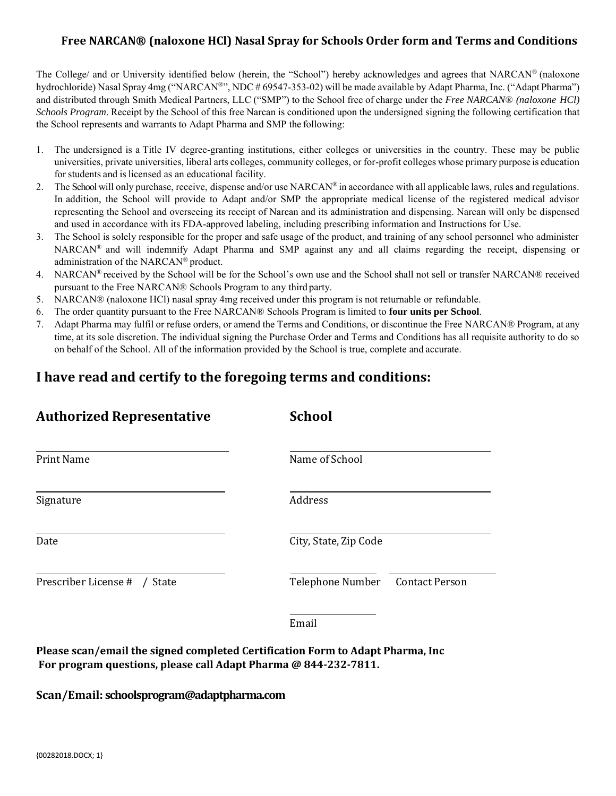# **Free NARCAN® (naloxone HCl) Nasal Spray for Schools Order form and Terms and Conditions**

The College/ and or University identified below (herein, the "School") hereby acknowledges and agrees that NARCAN® (naloxone hydrochloride) Nasal Spray 4mg ("NARCAN®", NDC # 69547-353-02) will be made available by Adapt Pharma, Inc. ("Adapt Pharma") and distributed through Smith Medical Partners, LLC ("SMP") to the School free of charge under the *Free NARCAN® (naloxone HCl) Schools Program*. Receipt by the School of this free Narcan is conditioned upon the undersigned signing the following certification that the School represents and warrants to Adapt Pharma and SMP the following:

- 1. The undersigned is a Title IV degree-granting institutions, either colleges or universities in the country. These may be public universities, private universities, liberal arts colleges, community colleges, or for-profit colleges whose primary purpose is education for students and is licensed as an educational facility.
- 2. The School will only purchase, receive, dispense and/or use NARCAN® in accordance with all applicable laws, rules and regulations. In addition, the School will provide to Adapt and/or SMP the appropriate medical license of the registered medical advisor representing the School and overseeing its receipt of Narcan and its administration and dispensing. Narcan will only be dispensed and used in accordance with its FDA-approved labeling, including prescribing information and Instructions for Use.
- 3. The School is solely responsible for the proper and safe usage of the product, and training of any school personnel who administer NARCAN® and will indemnify Adapt Pharma and SMP against any and all claims regarding the receipt, dispensing or administration of the NARCAN® product.
- 4. NARCAN<sup>®</sup> received by the School will be for the School's own use and the School shall not sell or transfer NARCAN® received pursuant to the Free NARCAN® Schools Program to any third party.
- 5. NARCAN® (naloxone HCl) nasal spray 4mg received under this program is not returnable or refundable.
- 6. The order quantity pursuant to the Free NARCAN® Schools Program is limited to **four units per School**.
- 7. Adapt Pharma may fulfil or refuse orders, or amend the Terms and Conditions, or discontinue the Free NARCAN® Program, at any time, at its sole discretion. The individual signing the Purchase Order and Terms and Conditions has all requisite authority to do so on behalf of the School. All of the information provided by the School is true, complete and accurate.

# **I have read and certify to the foregoing terms and conditions:**

| <b>Authorized Representative</b> | <b>School</b>                             |
|----------------------------------|-------------------------------------------|
| <b>Print Name</b>                | Name of School                            |
| Signature                        | Address                                   |
| Date                             | City, State, Zip Code                     |
| Prescriber License # / State     | Telephone Number<br><b>Contact Person</b> |
|                                  | Email                                     |

**Please scan/email the signed completed Certification Form to Adapt Pharma, Inc For program questions, please call Adapt Pharma @ 844-232-7811.**

**Scan/Email: schoolsprogram@adaptpharma.com**